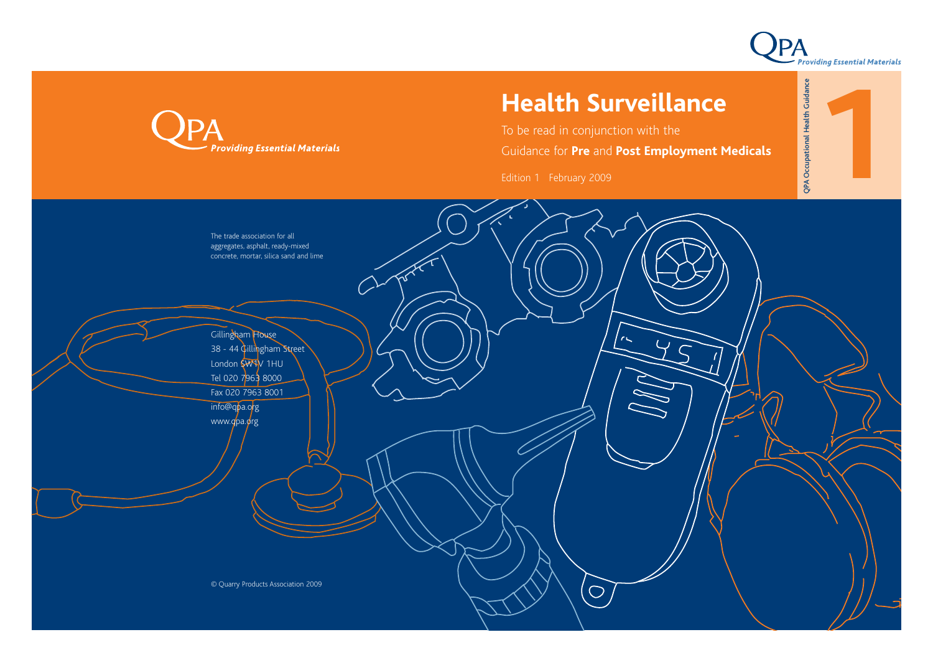

# **Health Surveillance**

To be read in conjunction with the

Guidance for **Pre** and **Post Employment Medicals**

Edition 1 February 2009



**Providing Essential Materials**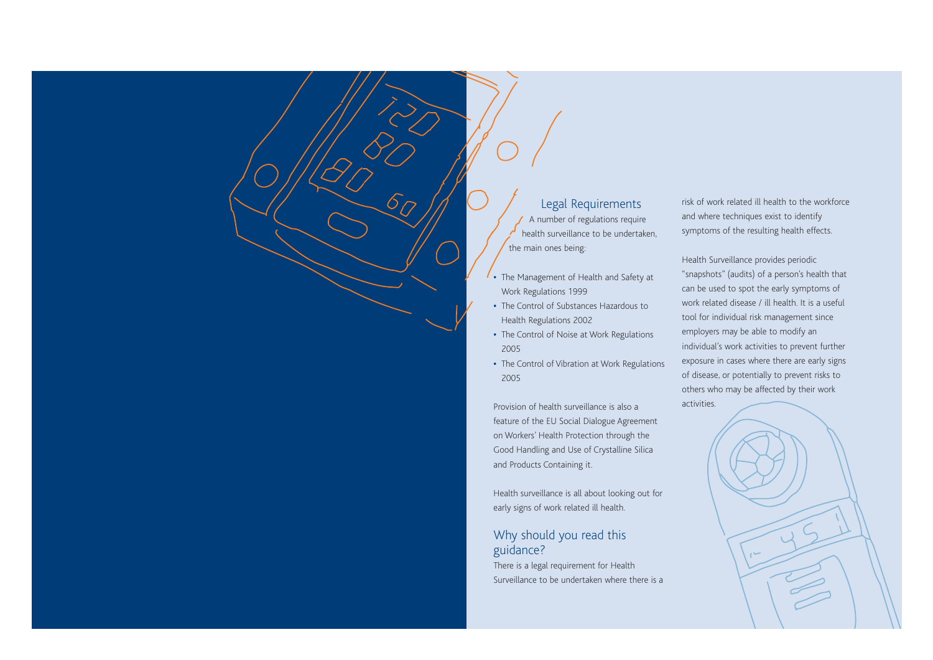## Legal Requirements

A number of regulations require health surveillance to be undertaken, the main ones being:

- **•** The Management of Health and Safety at Work Regulations 1999
- **•** The Control of Substances Hazardous to Health Regulations 2002
- **•** The Control of Noise at Work Regulations 2005
- **•** The Control of Vibration at Work Regulations 2005

Provision of health surveillance is also a feature of the EU Social Dialogue Agreement on Workers' Health Protection through the Good Handling and Use of Crystalline Silica and Products Containing it.

Health surveillance is all about looking out for early signs of work related ill health.

## Why should you read this guidance?

There is a legal requirement for Health Surveillance to be undertaken where there is a

risk of work related ill health to the workforce and where techniques exist to identify symptoms of the resulting health effects.

Health Surveillance provides periodic "snapshots" (audits) of a person's health that can be used to spot the early symptoms of work related disease / ill health. It is a useful tool for individual risk management since employers may be able to modify an individual's work activities to prevent further exposure in cases where there are early signs of disease, or potentially to prevent risks to others who may be affected by their work

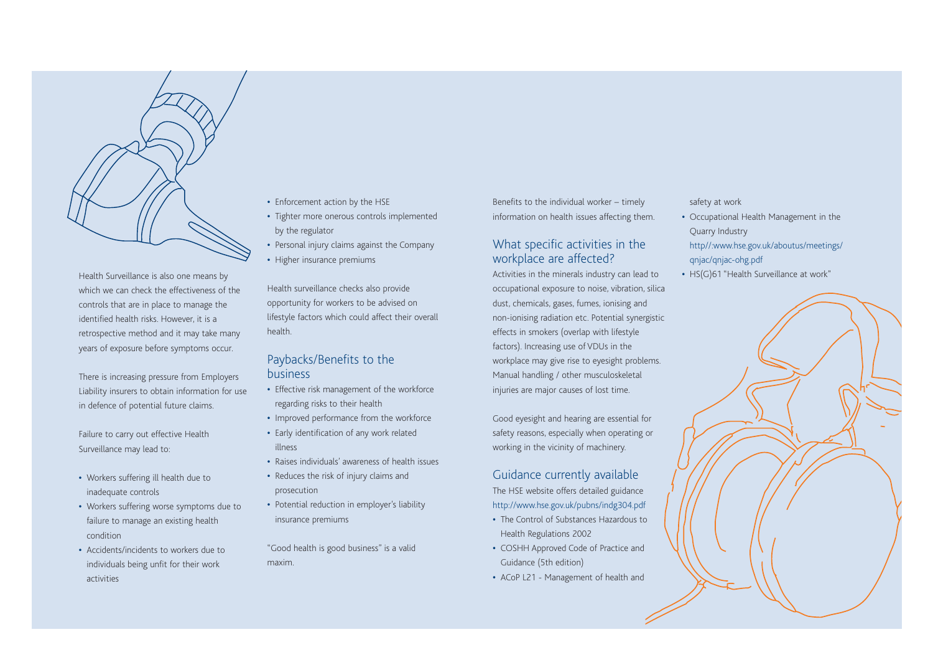

Health Surveillance is also one means by which we can check the effectiveness of the controls that are in place to manage the identified health risks. However, it is a retrospective method and it may take many years of exposure before symptoms occur.

There is increasing pressure from Employers Liability insurers to obtain information for use in defence of potential future claims.

Failure to carry out effective Health Surveillance may lead to:

- **•** Workers suffering ill health due to inadequate controls
- **•** Workers suffering worse symptoms due to failure to manage an existing health condition
- **•** Accidents/incidents to workers due to individuals being unfit for their work activities
- **•** Enforcement action by the HSE
- **•** Tighter more onerous controls implemented by the regulator
- **•** Personal injury claims against the Company **•** Higher insurance premiums

Health surveillance checks also provide opportunity for workers to be advised on lifestyle factors which could affect their overall health.

### Paybacks/Benefits to the business

- **•** Effective risk management of the workforce regarding risks to their health
- **•** Improved performance from the workforce
- **•** Early identification of any work related illness
- **•** Raises individuals' awareness of health issues
- **•** Reduces the risk of injury claims and prosecution
- **•** Potential reduction in employer's liability insurance premiums

"Good health is good business" is a valid maxim.

Benefits to the individual worker – timely information on health issues affecting them.

## What specific activities in the workplace are affected?

Activities in the minerals industry can lead to occupational exposure to noise, vibration, silica dust, chemicals, gases, fumes, ionising and non-ionising radiation etc. Potential synergistic effects in smokers (overlap with lifestyle factors). Increasing use of VDUs in the workplace may give rise to eyesight problems. Manual handling / other musculoskeletal injuries are major causes of lost time.

Good eyesight and hearing are essential for safety reasons, especially when operating or working in the vicinity of machinery.

## Guidance currently available

The HSE website offers detailed guidance http://www.hse.gov.uk/pubns/indg304.pdf

- **•** The Control of Substances Hazardous to Health Regulations 2002
- **•** COSHH Approved Code of Practice and Guidance (5th edition)
- **•** ACoP L21 Management of health and

#### safety at work

- **•** Occupational Health Management in the Quarry Industry
- http//:www.hse.gov.uk/aboutus/meetings/ qnjac/qnjac-ohg.pdf
- **•** HS(G)61 "Health Surveillance at work"

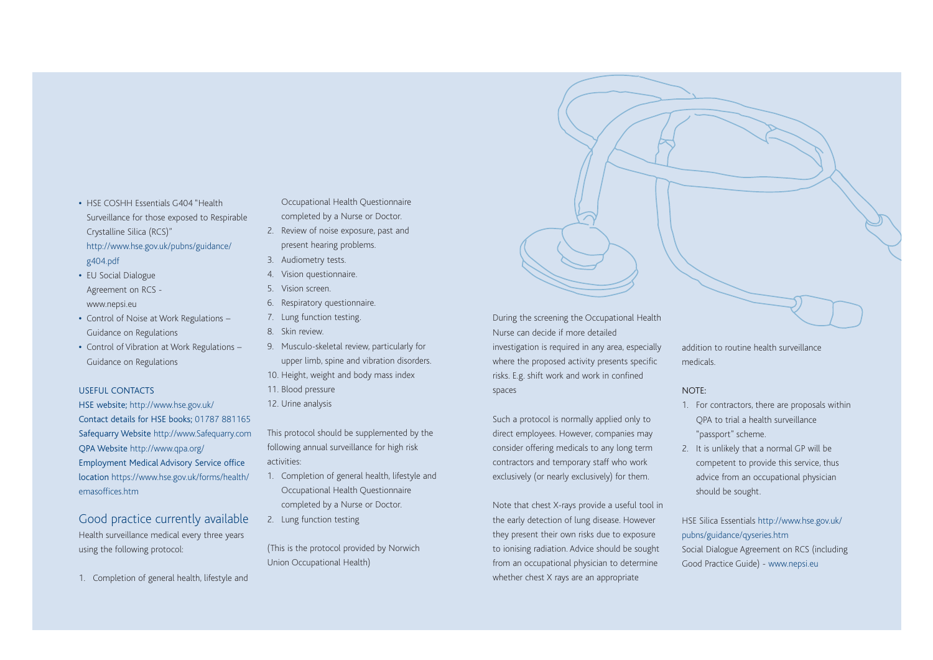- **•** HSE COSHH Essentials G404 "Health Surveillance for those exposed to Respirable Crystalline Silica (RCS)" http://www.hse.gov.uk/pubns/guidance/ g404.pdf
- **•** EU Social Dialogue Agreement on RCS www.nepsi.eu
- **•** Control of Noise at Work Regulations Guidance on Regulations
- **•** Control of Vibration at Work Regulations Guidance on Regulations

#### USEFUL CONTACTS

HSE website; http://www.hse.gov.uk/ Contact details for HSE books; 01787 881165 Safequarry Website http://www.Safequarry.com QPA Website http://www.qpa.org/ Employment Medical Advisory Service office location https://www.hse.gov.uk/forms/health/ emasoffices.htm

Good practice currently available Health surveillance medical every three years using the following protocol:

1. Completion of general health, lifestyle and

Occupational Health Questionnaire completed by a Nurse or Doctor.

- 2. Review of noise exposure, past and present hearing problems.
- 3. Audiometry tests.
- 4. Vision questionnaire.
- 5. Vision screen.
- 6. Respiratory questionnaire.
- 7. Lung function testing.
- 8. Skin review.
- 9. Musculo-skeletal review, particularly for upper limb, spine and vibration disorders. 10. Height, weight and body mass index
- 11. Blood pressure
- 12. Urine analysis

This protocol should be supplemented by the following annual surveillance for high risk activities:

- 1. Completion of general health, lifestyle and Occupational Health Questionnaire completed by a Nurse or Doctor.
- 2. Lung function testing

(This is the protocol provided by Norwich Union Occupational Health)

During the screening the Occupational Health Nurse can decide if more detailed investigation is required in any area, especially where the proposed activity presents specific risks. E.g. shift work and work in confined spaces

Such a protocol is normally applied only to direct employees. However, companies may consider offering medicals to any long term contractors and temporary staff who work exclusively (or nearly exclusively) for them.

Note that chest X-rays provide a useful tool in the early detection of lung disease. However they present their own risks due to exposure to ionising radiation. Advice should be sought from an occupational physician to determine whether chest X rays are an appropriate

addition to routine health surveillance medicals.

#### NOTE:

- 1. For contractors, there are proposals within QPA to trial a health surveillance "passport" scheme.
- 2. It is unlikely that a normal GP will be competent to provide this service, thus advice from an occupational physician should be sought.

HSE Silica Essentials http://www.hse.gov.uk/ pubns/guidance/qyseries.htm Social Dialogue Agreement on RCS (including Good Practice Guide) - www.nepsi.eu